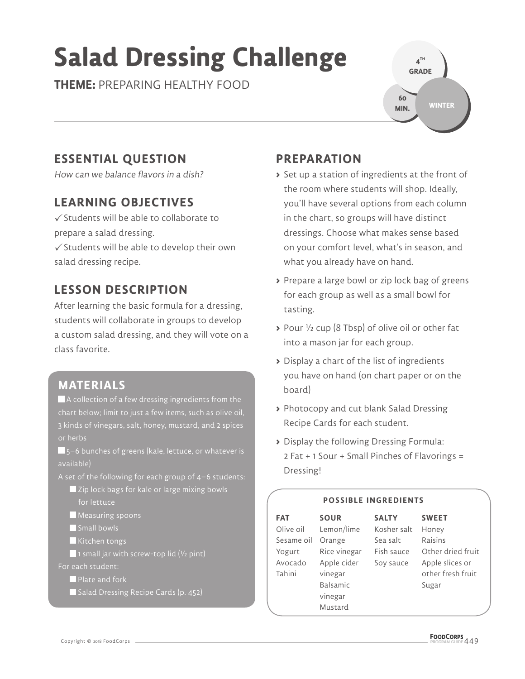# **Salad Dressing Challenge**

**THEME:** PREPARING HEALTHY FOOD

**4 TH GRADE WINTER 60 MIN.**

# **ESSENTIAL QUESTION**

How can we balance flavors in a dish?

#### **LEARNING OBJECTIVES**

 $\checkmark$  Students will be able to collaborate to prepare a salad dressing.

 $\checkmark$  Students will be able to develop their own salad dressing recipe.

## **LESSON DESCRIPTION**

After learning the basic formula for a dressing, students will collaborate in groups to develop a custom salad dressing, and they will vote on a class favorite.

#### **MATERIALS**

 A collection of a few dressing ingredients from the 3 kinds of vinegars, salt, honey, mustard, and 2 spices or herbs

 5–6 bunches of greens (kale, lettuce, or whatever is available)

A set of the following for each group of 4–6 students:

Zip lock bags for kale or large mixing bowls for lettuce

**Measuring spoons** 

- Small bowls
- Kitchen tongs

1 small jar with screw-top lid  $(y_2$  pint)

For each student:

**Plate and fork** 

Salad Dressing Recipe Cards (p. 452)

## **PREPARATION**

- **>** Set up a station of ingredients at the front of the room where students will shop. Ideally, you'll have several options from each column in the chart, so groups will have distinct dressings. Choose what makes sense based on your comfort level, what's in season, and what you already have on hand.
- **>** Prepare a large bowl or zip lock bag of greens for each group as well as a small bowl for tasting.
- **>** Pour ½ cup (8 Tbsp) of olive oil or other fat into a mason jar for each group.
- **>** Display a chart of the list of ingredients you have on hand (on chart paper or on the board)
- **>** Photocopy and cut blank Salad Dressing Recipe Cards for each student.
- **>** Display the following Dressing Formula: 2 Fat + 1 Sour + Small Pinches of Flavorings = Dressing!

#### **POSSIBLE INGREDIENTS**

| <b>FAT</b> | <b>SOUR</b>     | <b>SALTY</b> | <b>SWEET</b>      |
|------------|-----------------|--------------|-------------------|
| Olive oil  | Lemon/lime      | Kosher salt  | Honey             |
| Sesame oil | Orange          | Sea salt     | Raisins           |
| Yogurt     | Rice vinegar    | Fish sauce   | Other dried fruit |
| Avocado    | Apple cider     | Soy sauce    | Apple slices or   |
| Tahini     | vinegar         |              | other fresh fruit |
|            | <b>Balsamic</b> |              | Sugar             |
|            | vinegar         |              |                   |
|            | Mustard         |              |                   |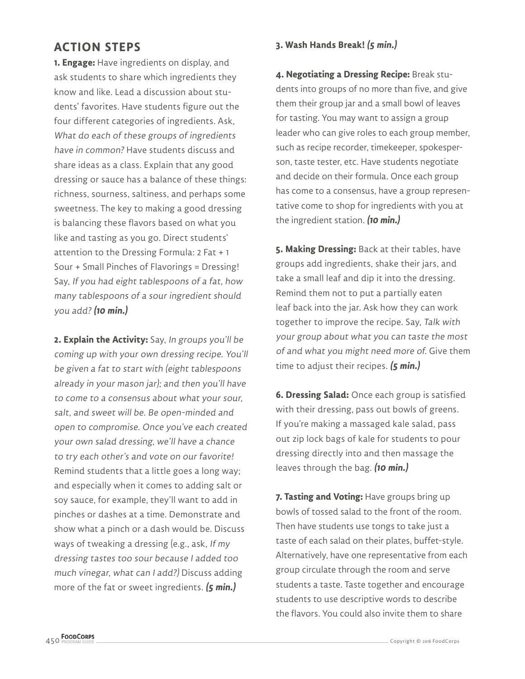#### **ACTION STEPS**

**1. Engage:** Have ingredients on display, and ask students to share which ingredients they know and like. Lead a discussion about students' favorites. Have students figure out the four different categories of ingredients. Ask, What do each of these groups of ingredients have in common? Have students discuss and share ideas as a class. Explain that any good dressing or sauce has a balance of these things: richness, sourness, saltiness, and perhaps some sweetness. The key to making a good dressing is balancing these flavors based on what you like and tasting as you go. Direct students' attention to the Dressing Formula: 2 Fat + 1 Sour + Small Pinches of Flavorings = Dressing! Say, If you had eight tablespoons of a fat, how many tablespoons of a sour ingredient should you add? **(10 min.)**

**2. Explain the Activity:** Say, In groups you'll be coming up with your own dressing recipe. You'll be given a fat to start with (eight tablespoons already in your mason jar); and then you'll have to come to a consensus about what your sour, salt, and sweet will be. Be open-minded and open to compromise. Once you've each created your own salad dressing, we'll have a chance to try each other's and vote on our favorite! Remind students that a little goes a long way; and especially when it comes to adding salt or soy sauce, for example, they'll want to add in pinches or dashes at a time. Demonstrate and show what a pinch or a dash would be. Discuss ways of tweaking a dressing (e.g., ask, If my dressing tastes too sour because I added too much vinegar, what can I add?) Discuss adding more of the fat or sweet ingredients. **(5 min.)**

#### **3. Wash Hands Break! (5 min.)**

**4. Negotiating a Dressing Recipe:** Break students into groups of no more than five, and give them their group jar and a small bowl of leaves for tasting. You may want to assign a group leader who can give roles to each group member, such as recipe recorder, timekeeper, spokesperson, taste tester, etc. Have students negotiate and decide on their formula. Once each group has come to a consensus, have a group representative come to shop for ingredients with you at the ingredient station. **(10 min.)**

**5. Making Dressing:** Back at their tables, have groups add ingredients, shake their jars, and take a small leaf and dip it into the dressing. Remind them not to put a partially eaten leaf back into the jar. Ask how they can work together to improve the recipe. Say, Talk with your group about what you can taste the most of and what you might need more of. Give them time to adjust their recipes. **(5 min.)**

**6. Dressing Salad:** Once each group is satisfied with their dressing, pass out bowls of greens. If you're making a massaged kale salad, pass out zip lock bags of kale for students to pour dressing directly into and then massage the leaves through the bag. **(10 min.)**

**7. Tasting and Voting:** Have groups bring up bowls of tossed salad to the front of the room. Then have students use tongs to take just a taste of each salad on their plates, buffet-style. Alternatively, have one representative from each group circulate through the room and serve students a taste. Taste together and encourage students to use descriptive words to describe the flavors. You could also invite them to share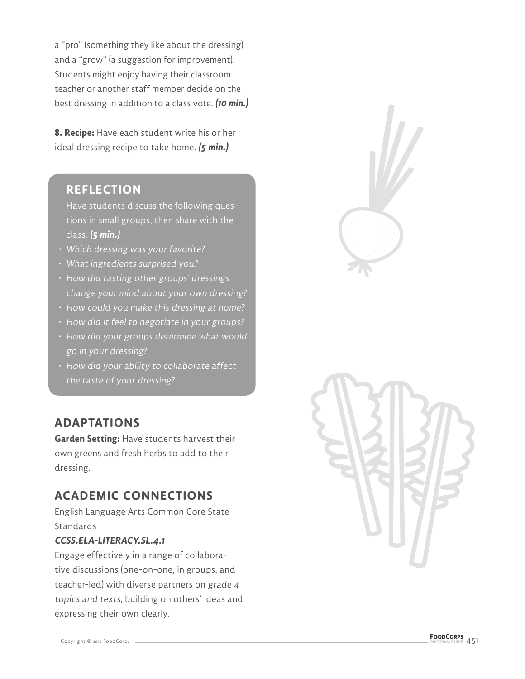a "pro" (something they like about the dressing) and a "grow" (a suggestion for improvement). Students might enjoy having their classroom teacher or another staff member decide on the best dressing in addition to a class vote. **(10 min.)**

**8. Recipe:** Have each student write his or her ideal dressing recipe to take home. **(5 min.)**

#### **REFLECTION**

Have students discuss the following questions in small groups, then share with the class: **(5 min.)**

- Which dressing was your favorite?
- What ingredients surprised you?
- How did tasting other groups' dressings change your mind about your own dressing?
- How could you make this dressing at home?
- How did it feel to negotiate in your groups?
- How did your groups determine what would go in your dressing?
- How did your ability to collaborate affect the taste of your dressing?

## **ADAPTATIONS**

**Garden Setting:** Have students harvest their own greens and fresh herbs to add to their dressing.

## **ACADEMIC CONNECTIONS**

English Language Arts Common Core State **Standards** 

#### **CCSS.ELA-LITERACY.SL.4.1**

Engage effectively in a range of collaborative discussions (one-on-one, in groups, and teacher-led) with diverse partners on grade 4 topics and texts, building on others' ideas and expressing their own clearly.